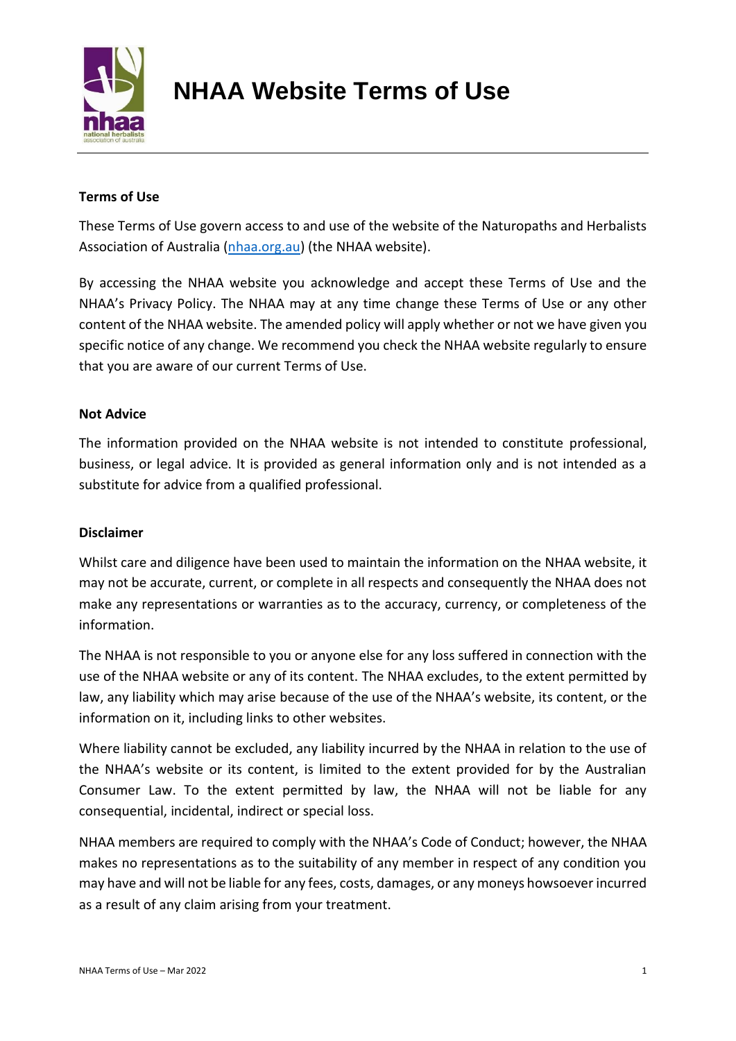

# **NHAA Website Terms of Use**

# **Terms of Use**

These Terms of Use govern access to and use of the website of the Naturopaths and Herbalists Association of Australia [\(nhaa.org.au\)](http://www.nhaa.org.au/) (the NHAA website).

By accessing the NHAA website you acknowledge and accept these Terms of Use and the NHAA's Privacy Policy. The NHAA may at any time change these Terms of Use or any other content of the NHAA website. The amended policy will apply whether or not we have given you specific notice of any change. We recommend you check the NHAA website regularly to ensure that you are aware of our current Terms of Use.

## **Not Advice**

The information provided on the NHAA website is not intended to constitute professional, business, or legal advice. It is provided as general information only and is not intended as a substitute for advice from a qualified professional.

## **Disclaimer**

Whilst care and diligence have been used to maintain the information on the NHAA website, it may not be accurate, current, or complete in all respects and consequently the NHAA does not make any representations or warranties as to the accuracy, currency, or completeness of the information.

The NHAA is not responsible to you or anyone else for any loss suffered in connection with the use of the NHAA website or any of its content. The NHAA excludes, to the extent permitted by law, any liability which may arise because of the use of the NHAA's website, its content, or the information on it, including links to other websites.

Where liability cannot be excluded, any liability incurred by the NHAA in relation to the use of the NHAA's website or its content, is limited to the extent provided for by the Australian Consumer Law. To the extent permitted by law, the NHAA will not be liable for any consequential, incidental, indirect or special loss.

NHAA members are required to comply with the NHAA's Code of Conduct; however, the NHAA makes no representations as to the suitability of any member in respect of any condition you may have and will not be liable for any fees, costs, damages, or any moneys howsoever incurred as a result of any claim arising from your treatment.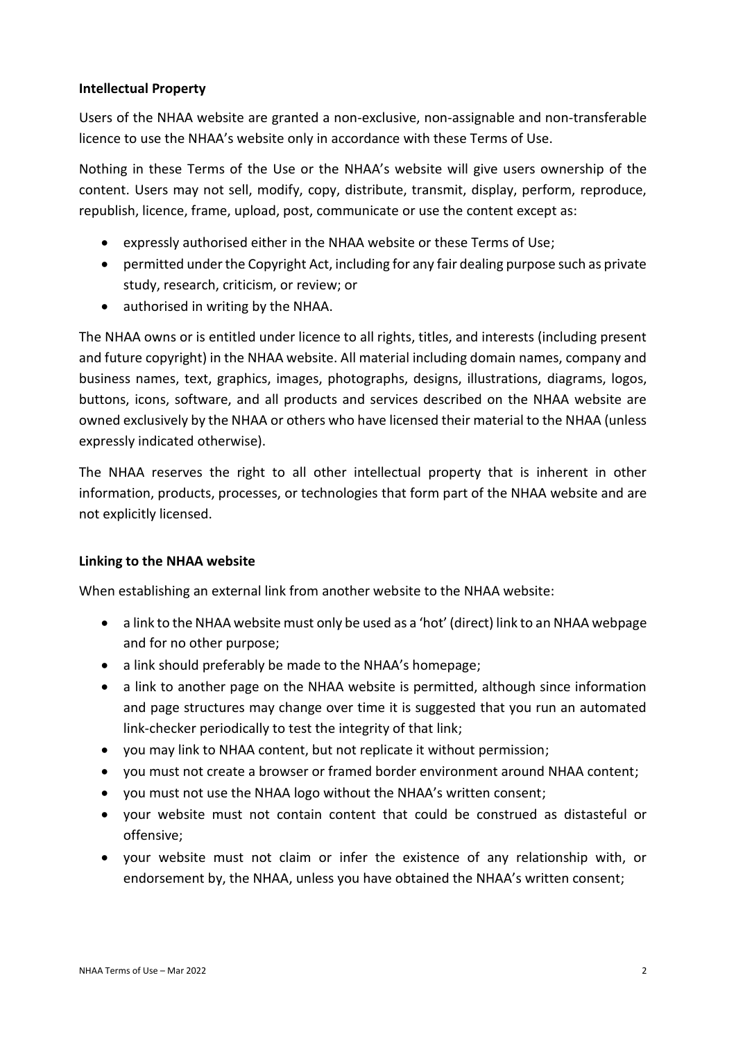## **Intellectual Property**

Users of the NHAA website are granted a non-exclusive, non-assignable and non-transferable licence to use the NHAA's website only in accordance with these Terms of Use.

Nothing in these Terms of the Use or the NHAA's website will give users ownership of the content. Users may not sell, modify, copy, distribute, transmit, display, perform, reproduce, republish, licence, frame, upload, post, communicate or use the content except as:

- expressly authorised either in the NHAA website or these Terms of Use;
- permitted under the Copyright Act, including for any fair dealing purpose such as private study, research, criticism, or review; or
- authorised in writing by the NHAA.

The NHAA owns or is entitled under licence to all rights, titles, and interests (including present and future copyright) in the NHAA website. All material including domain names, company and business names, text, graphics, images, photographs, designs, illustrations, diagrams, logos, buttons, icons, software, and all products and services described on the NHAA website are owned exclusively by the NHAA or others who have licensed their material to the NHAA (unless expressly indicated otherwise).

The NHAA reserves the right to all other intellectual property that is inherent in other information, products, processes, or technologies that form part of the NHAA website and are not explicitly licensed.

## **Linking to the NHAA website**

When establishing an external link from another website to the NHAA website:

- a link to the NHAA website must only be used as a 'hot' (direct) link to an NHAA webpage and for no other purpose;
- a link should preferably be made to the NHAA's homepage;
- a link to another page on the NHAA website is permitted, although since information and page structures may change over time it is suggested that you run an automated link-checker periodically to test the integrity of that link;
- you may link to NHAA content, but not replicate it without permission;
- you must not create a browser or framed border environment around NHAA content;
- you must not use the NHAA logo without the NHAA's written consent;
- your website must not contain content that could be construed as distasteful or offensive;
- your website must not claim or infer the existence of any relationship with, or endorsement by, the NHAA, unless you have obtained the NHAA's written consent;